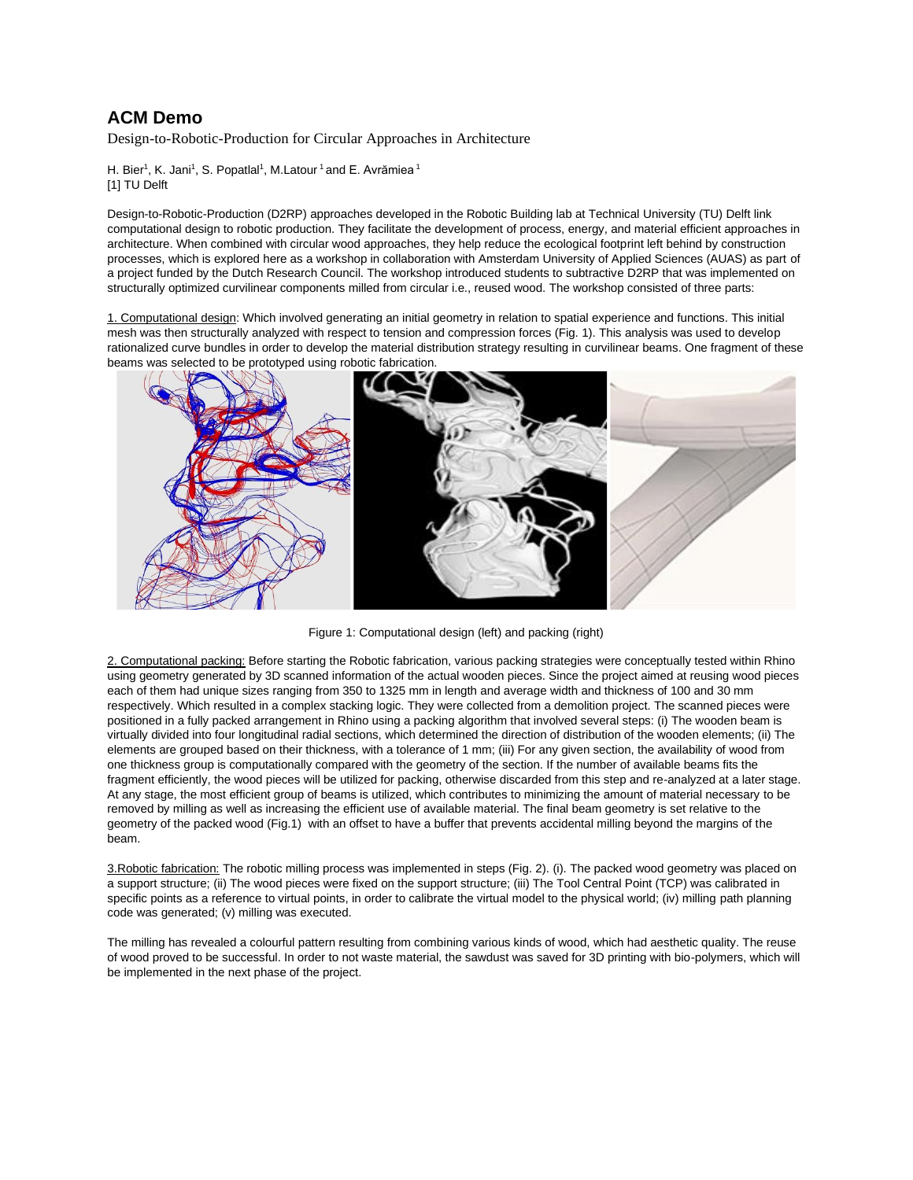## **ACM Demo**

Design-to-Robotic-Production for Circular Approaches in Architecture

H. Bier<sup>1</sup>, K. Jani<sup>1</sup>, S. Popatlal<sup>1</sup>, M.Latour<sup>1</sup> and E. Avrămiea<sup>1</sup> [1] TU Delft

Design-to-Robotic-Production (D2RP) approaches developed in the Robotic Building lab at Technical University (TU) Delft link computational design to robotic production. They facilitate the development of process, energy, and material efficient approaches in architecture. When combined with circular wood approaches, they help reduce the ecological footprint left behind by construction processes, which is explored here as a workshop in collaboration with Amsterdam University of Applied Sciences (AUAS) as part of a project funded by the Dutch Research Council. The workshop introduced students to subtractive D2RP that was implemented on structurally optimized curvilinear components milled from circular i.e., reused wood. The workshop consisted of three parts:

1. Computational design: Which involved generating an initial geometry in relation to spatial experience and functions. This initial mesh was then structurally analyzed with respect to tension and compression forces (Fig. 1). This analysis was used to develop rationalized curve bundles in order to develop the material distribution strategy resulting in curvilinear beams. One fragment of these beams was selected to be prototyped using robotic fabrication.



Figure 1: Computational design (left) and packing (right)

2. Computational packing: Before starting the Robotic fabrication, various packing strategies were conceptually tested within Rhino using geometry generated by 3D scanned information of the actual wooden pieces. Since the project aimed at reusing wood pieces each of them had unique sizes ranging from 350 to 1325 mm in length and average width and thickness of 100 and 30 mm respectively. Which resulted in a complex stacking logic. They were collected from a demolition project. The scanned pieces were positioned in a fully packed arrangement in Rhino using a packing algorithm that involved several steps: (i) The wooden beam is virtually divided into four longitudinal radial sections, which determined the direction of distribution of the wooden elements; (ii) The elements are grouped based on their thickness, with a tolerance of 1 mm; (iii) For any given section, the availability of wood from one thickness group is computationally compared with the geometry of the section. If the number of available beams fits the fragment efficiently, the wood pieces will be utilized for packing, otherwise discarded from this step and re-analyzed at a later stage. At any stage, the most efficient group of beams is utilized, which contributes to minimizing the amount of material necessary to be removed by milling as well as increasing the efficient use of available material. The final beam geometry is set relative to the geometry of the packed wood (Fig.1) with an offset to have a buffer that prevents accidental milling beyond the margins of the beam.

3. Robotic fabrication: The robotic milling process was implemented in steps (Fig. 2). (i). The packed wood geometry was placed on a support structure; (ii) The wood pieces were fixed on the support structure; (iii) The Tool Central Point (TCP) was calibrated in specific points as a reference to virtual points, in order to calibrate the virtual model to the physical world; (iv) milling path planning code was generated; (v) milling was executed.

The milling has revealed a colourful pattern resulting from combining various kinds of wood, which had aesthetic quality. The reuse of wood proved to be successful. In order to not waste material, the sawdust was saved for 3D printing with bio-polymers, which will be implemented in the next phase of the project.